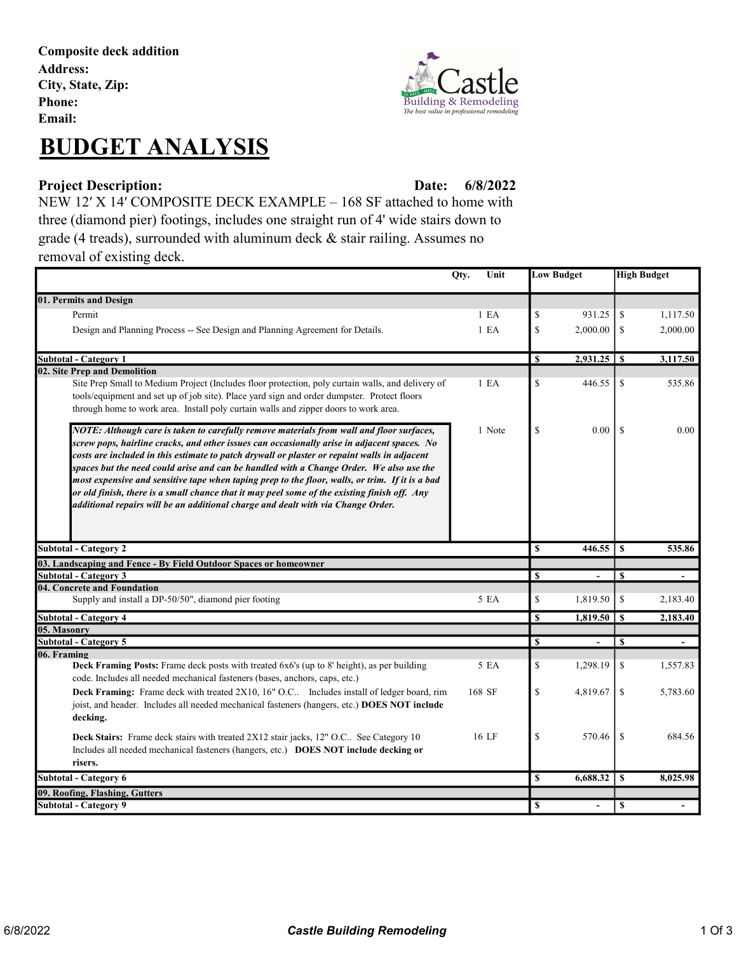Composite deck addition Address: City, State, Zip: Phone: Email:

## BUDGET ANALYSIS



#### Project Description: Date:

6/8/2022

NEW 12′ X 14′ COMPOSITE DECK EXAMPLE – 168 SF attached to home with three (diamond pier) footings, includes one straight run of 4' wide stairs down to grade (4 treads), surrounded with aluminum deck & stair railing. Assumes no removal of existing deck.

|                                                                                                                                                                           | Qty.<br>Unit     | <b>Low Budget</b> |                 | <b>High Budget</b> |                          |
|---------------------------------------------------------------------------------------------------------------------------------------------------------------------------|------------------|-------------------|-----------------|--------------------|--------------------------|
| 01. Permits and Design                                                                                                                                                    |                  |                   |                 |                    |                          |
| Permit                                                                                                                                                                    | 1 E <sub>A</sub> | \$                | 931.25          | \$                 | 1,117.50                 |
| Design and Planning Process -- See Design and Planning Agreement for Details.                                                                                             | 1 E A            | \$                | 2,000.00        | \$                 | 2,000.00                 |
|                                                                                                                                                                           |                  |                   |                 |                    |                          |
| <b>Subtotal - Category 1</b>                                                                                                                                              |                  | \$                | 2,931.25        | -S                 | 3,117.50                 |
| 02. Site Prep and Demolition                                                                                                                                              |                  |                   |                 |                    |                          |
| Site Prep Small to Medium Project (Includes floor protection, poly curtain walls, and delivery of                                                                         | 1 E <sub>A</sub> | \$                | 446.55          | \$                 | 535.86                   |
| tools/equipment and set up of job site). Place yard sign and order dumpster. Protect floors                                                                               |                  |                   |                 |                    |                          |
| through home to work area. Install poly curtain walls and zipper doors to work area.                                                                                      |                  |                   |                 |                    |                          |
| NOTE: Although care is taken to carefully remove materials from wall and floor surfaces,                                                                                  | 1 Note           | \$                | 0.00            | $\mathcal{S}$      | 0.00                     |
| screw pops, hairline cracks, and other issues can occasionally arise in adjacent spaces. No                                                                               |                  |                   |                 |                    |                          |
| costs are included in this estimate to patch drywall or plaster or repaint walls in adjacent                                                                              |                  |                   |                 |                    |                          |
| spaces but the need could arise and can be handled with a Change Order. We also use the                                                                                   |                  |                   |                 |                    |                          |
| most expensive and sensitive tape when taping prep to the floor, walls, or trim. If it is a bad                                                                           |                  |                   |                 |                    |                          |
| or old finish, there is a small chance that it may peel some of the existing finish off. Any                                                                              |                  |                   |                 |                    |                          |
| additional repairs will be an additional charge and dealt with via Change Order.                                                                                          |                  |                   |                 |                    |                          |
|                                                                                                                                                                           |                  |                   |                 |                    |                          |
|                                                                                                                                                                           |                  |                   |                 |                    |                          |
| <b>Subtotal - Category 2</b>                                                                                                                                              |                  | $\mathbf S$       | 446.55          | <sup>S</sup>       | 535.86                   |
| 03. Landscaping and Fence - By Field Outdoor Spaces or homeowner                                                                                                          |                  |                   |                 |                    |                          |
| <b>Subtotal - Category 3</b>                                                                                                                                              |                  | \$                |                 | \$                 |                          |
| 04. Concrete and Foundation                                                                                                                                               |                  |                   |                 |                    |                          |
| Supply and install a DP-50/50", diamond pier footing                                                                                                                      | 5 EA             | \$                | 1,819.50        | \$                 | 2,183.40                 |
| <b>Subtotal - Category 4</b>                                                                                                                                              |                  | $\mathbf S$       | $1,819.50$   \$ |                    | 2,183.40                 |
| 05. Masonry                                                                                                                                                               |                  |                   |                 |                    |                          |
| <b>Subtotal - Category 5</b>                                                                                                                                              |                  | \$                |                 | $\mathbf S$        | $\overline{\phantom{a}}$ |
| 06. Framing                                                                                                                                                               | 5 EA             | \$                | 1,298.19        | \$                 | 1,557.83                 |
| Deck Framing Posts: Frame deck posts with treated 6x6's (up to 8' height), as per building<br>code. Includes all needed mechanical fasteners (bases, anchors, caps, etc.) |                  |                   |                 |                    |                          |
| Deck Framing: Frame deck with treated 2X10, 16" O.C Includes install of ledger board, rim                                                                                 |                  |                   | 4,819.67        | \$                 | 5,783.60                 |
|                                                                                                                                                                           |                  |                   |                 |                    |                          |
|                                                                                                                                                                           | 168 SF           | \$                |                 |                    |                          |
| joist, and header. Includes all needed mechanical fasteners (hangers, etc.) DOES NOT include                                                                              |                  |                   |                 |                    |                          |
| decking.                                                                                                                                                                  |                  |                   |                 |                    |                          |
| Deck Stairs: Frame deck stairs with treated 2X12 stair jacks, 12" O.C See Category 10                                                                                     | 16 LF            | \$                | 570.46          | <sup>\$</sup>      | 684.56                   |
| Includes all needed mechanical fasteners (hangers, etc.) DOES NOT include decking or                                                                                      |                  |                   |                 |                    |                          |
| risers.                                                                                                                                                                   |                  |                   |                 |                    |                          |
| Subtotal - Category 6                                                                                                                                                     |                  | \$                | 6,688.32        | \$                 | 8,025.98                 |
| 09. Roofing, Flashing, Gutters                                                                                                                                            |                  |                   |                 |                    |                          |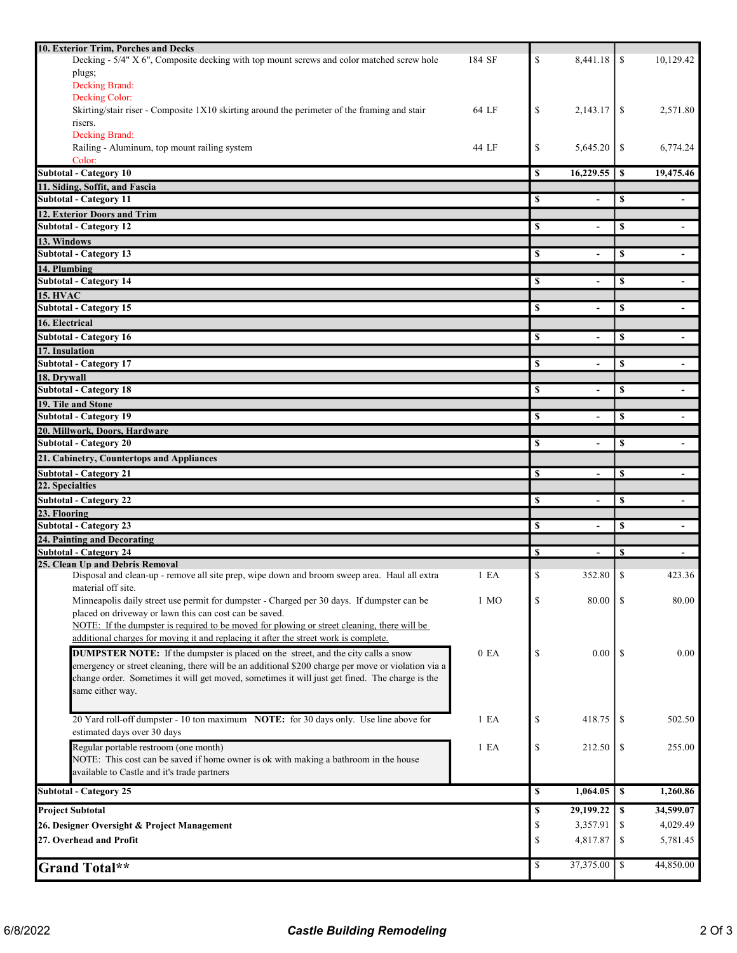| 10. Exterior Trim, Porches and Decks                                                               |                        |                          |               |                          |
|----------------------------------------------------------------------------------------------------|------------------------|--------------------------|---------------|--------------------------|
| Decking - 5/4" X 6", Composite decking with top mount screws and color matched screw hole          | 184 SF<br>\$           | 8,441.18                 | <sup>\$</sup> | 10,129.42                |
| plugs;                                                                                             |                        |                          |               |                          |
| Decking Brand:                                                                                     |                        |                          |               |                          |
| Decking Color:                                                                                     |                        |                          |               |                          |
| Skirting/stair riser - Composite 1X10 skirting around the perimeter of the framing and stair       | 64 LF<br>\$            | 2.143.17                 | \$            | 2,571.80                 |
| risers.                                                                                            |                        |                          |               |                          |
| Decking Brand:                                                                                     |                        |                          |               |                          |
| Railing - Aluminum, top mount railing system                                                       | S<br>44 LF             | 5,645.20                 | \$            | 6,774.24                 |
| Color:                                                                                             |                        |                          |               |                          |
| <b>Subtotal - Category 10</b>                                                                      | \$                     | 16,229.55                | \$            | 19,475.46                |
| 11. Siding, Soffit, and Fascia                                                                     |                        |                          |               |                          |
| <b>Subtotal - Category 11</b>                                                                      | \$                     |                          | \$            |                          |
| 12. Exterior Doors and Trim                                                                        |                        |                          |               |                          |
| <b>Subtotal - Category 12</b>                                                                      | \$                     | $\overline{\phantom{0}}$ | \$            |                          |
| 13. Windows                                                                                        |                        |                          |               |                          |
| <b>Subtotal - Category 13</b>                                                                      | \$                     | $\overline{\phantom{0}}$ | \$            | $\blacksquare$           |
| 14. Plumbing                                                                                       |                        |                          |               |                          |
| <b>Subtotal - Category 14</b>                                                                      | \$                     | ٠                        | \$            | $\overline{\phantom{a}}$ |
| <b>15. HVAC</b>                                                                                    |                        |                          |               |                          |
| <b>Subtotal - Category 15</b>                                                                      | \$                     |                          | \$            |                          |
| 16. Electrical                                                                                     |                        |                          |               |                          |
| <b>Subtotal - Category 16</b>                                                                      | \$                     | $\blacksquare$           | \$            | $\overline{\phantom{a}}$ |
| 17. Insulation                                                                                     |                        |                          |               |                          |
| <b>Subtotal - Category 17</b>                                                                      | \$                     |                          | \$            |                          |
| 18. Drywall                                                                                        |                        |                          |               |                          |
| <b>Subtotal - Category 18</b>                                                                      | \$                     | $\overline{\phantom{0}}$ | \$            |                          |
| 19. Tile and Stone                                                                                 |                        |                          |               |                          |
| <b>Subtotal - Category 19</b>                                                                      | \$                     |                          | \$            |                          |
| 20. Millwork, Doors, Hardware                                                                      |                        |                          |               |                          |
| <b>Subtotal - Category 20</b>                                                                      | \$                     | $\blacksquare$           | \$            |                          |
|                                                                                                    |                        |                          |               |                          |
| 21. Cabinetry, Countertops and Appliances                                                          |                        |                          |               |                          |
| <b>Subtotal - Category 21</b>                                                                      | \$                     | $\overline{\phantom{a}}$ | S             |                          |
|                                                                                                    |                        |                          |               |                          |
| 22. Specialties                                                                                    |                        |                          |               |                          |
| <b>Subtotal - Category 22</b>                                                                      | \$                     | $\overline{\phantom{a}}$ | \$            | $\blacksquare$           |
| 23. Flooring                                                                                       |                        |                          |               |                          |
| <b>Subtotal - Category 23</b>                                                                      | \$                     | ä,                       | \$            |                          |
| 24. Painting and Decorating                                                                        |                        |                          |               |                          |
| Subtotal - Category 24                                                                             | \$                     |                          | \$            |                          |
| 25. Clean Up and Debris Removal                                                                    |                        |                          |               |                          |
| Disposal and clean-up - remove all site prep, wipe down and broom sweep area. Haul all extra       | \$<br>1 E <sub>A</sub> | 352.80                   | <sup>\$</sup> | 423.36                   |
| material off site.                                                                                 |                        |                          | -S            |                          |
| Minneapolis daily street use permit for dumpster - Charged per 30 days. If dumpster can be         | \$<br>1 MO             | 80.00                    |               | 80.00                    |
| placed on driveway or lawn this can cost can be saved.                                             |                        |                          |               |                          |
| NOTE: If the dumpster is required to be moved for plowing or street cleaning, there will be        |                        |                          |               |                          |
| additional charges for moving it and replacing it after the street work is complete.               |                        |                          |               |                          |
| <b>DUMPSTER NOTE:</b> If the dumpster is placed on the street, and the city calls a snow           | \$<br>0 E A            | 0.00                     | <sup>\$</sup> | 0.00                     |
| emergency or street cleaning, there will be an additional \$200 charge per move or violation via a |                        |                          |               |                          |
| change order. Sometimes it will get moved, sometimes it will just get fined. The charge is the     |                        |                          |               |                          |
| same either way.                                                                                   |                        |                          |               |                          |
|                                                                                                    |                        |                          |               |                          |
| 20 Yard roll-off dumpster - 10 ton maximum NOTE: for 30 days only. Use line above for              | 1 E A<br>\$            | 418.75                   | \$            | 502.50                   |
| estimated days over 30 days                                                                        |                        |                          |               |                          |
| Regular portable restroom (one month)                                                              | \$<br>1 E A            | 212.50                   | \$            | 255.00                   |
| NOTE: This cost can be saved if home owner is ok with making a bathroom in the house               |                        |                          |               |                          |
| available to Castle and it's trade partners                                                        |                        |                          |               |                          |
| <b>Subtotal - Category 25</b>                                                                      | \$                     | 1,064.05                 | $\mathbf{s}$  | 1,260.86                 |
|                                                                                                    | \$                     |                          | \$            |                          |
| <b>Project Subtotal</b>                                                                            |                        | 29,199.22                |               | 34,599.07                |
| 26. Designer Oversight & Project Management                                                        | \$                     | 3,357.91                 | \$            | 4,029.49                 |
| 27. Overhead and Profit                                                                            | \$                     | 4,817.87                 | \$            | 5,781.45                 |
| <b>Grand Total**</b>                                                                               | \$                     | 37,375.00                | $\mathbb{S}$  | 44,850.00                |